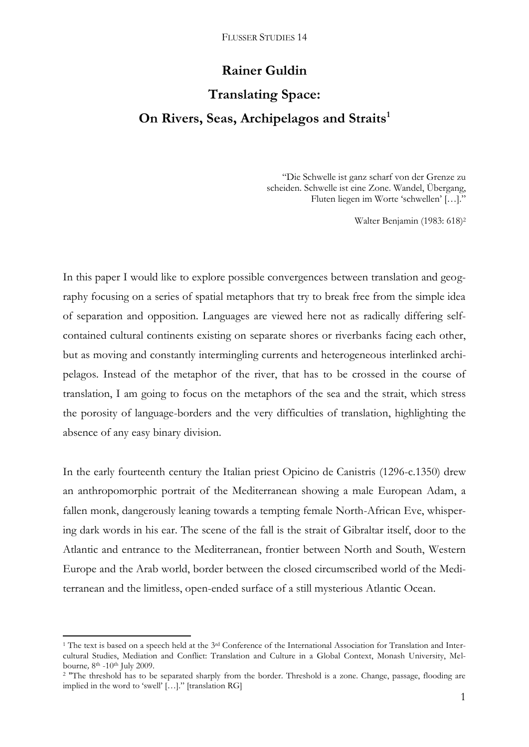# **Rainer Guldin**

# **Translating Space: On Rivers, Seas, Archipelagos and Straits<sup>1</sup>**

"Die Schwelle ist ganz scharf von der Grenze zu scheiden. Schwelle ist eine Zone. Wandel, Übergang, Fluten liegen im Worte 'schwellen' […]."

Walter Benjamin (1983: 618)<sup>2</sup>

In this paper I would like to explore possible convergences between translation and geography focusing on a series of spatial metaphors that try to break free from the simple idea of separation and opposition. Languages are viewed here not as radically differing selfcontained cultural continents existing on separate shores or riverbanks facing each other, but as moving and constantly intermingling currents and heterogeneous interlinked archipelagos. Instead of the metaphor of the river, that has to be crossed in the course of translation, I am going to focus on the metaphors of the sea and the strait, which stress the porosity of language-borders and the very difficulties of translation, highlighting the absence of any easy binary division.

In the early fourteenth century the Italian priest Opicino de Canistris (1296-c.1350) drew an anthropomorphic portrait of the Mediterranean showing a male European Adam, a fallen monk, dangerously leaning towards a tempting female North-African Eve, whispering dark words in his ear. The scene of the fall is the strait of Gibraltar itself, door to the Atlantic and entrance to the Mediterranean, frontier between North and South, Western Europe and the Arab world, border between the closed circumscribed world of the Mediterranean and the limitless, open-ended surface of a still mysterious Atlantic Ocean.

**.** 

<sup>&</sup>lt;sup>1</sup> The text is based on a speech held at the  $3<sup>rd</sup>$  Conference of the International Association for Translation and Intercultural Studies, Mediation and Conflict: Translation and Culture in a Global Context, Monash University, Melbourne, 8<sup>th</sup> -10<sup>th</sup> July 2009.

<sup>&</sup>lt;sup>2</sup> "The threshold has to be separated sharply from the border. Threshold is a zone. Change, passage, flooding are implied in the word to 'swell' […]." [translation RG]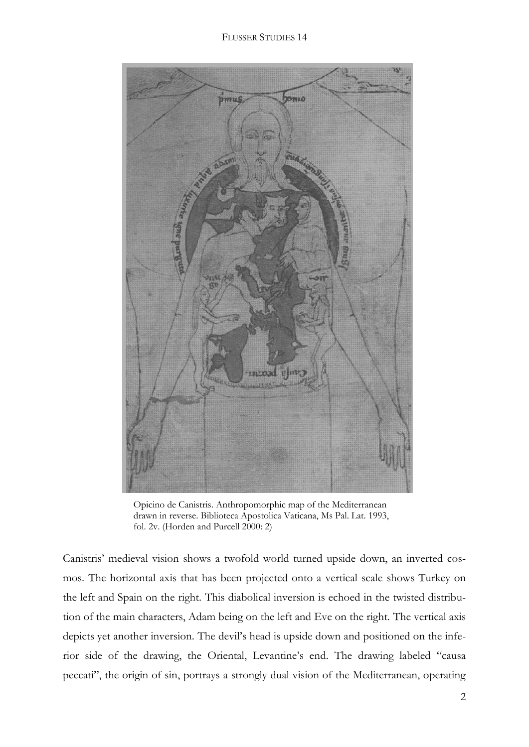

Opicino de Canistris. Anthropomorphic map of the Mediterranean drawn in reverse. Biblioteca Apostolica Vaticana, Ms Pal. Lat. 1993, fol. 2v. (Horden and Purcell 2000: 2)

Canistris' medieval vision shows a twofold world turned upside down, an inverted cosmos. The horizontal axis that has been projected onto a vertical scale shows Turkey on the left and Spain on the right. This diabolical inversion is echoed in the twisted distribution of the main characters, Adam being on the left and Eve on the right. The vertical axis depicts yet another inversion. The devil's head is upside down and positioned on the inferior side of the drawing, the Oriental, Levantine's end. The drawing labeled "causa peccati", the origin of sin, portrays a strongly dual vision of the Mediterranean, operating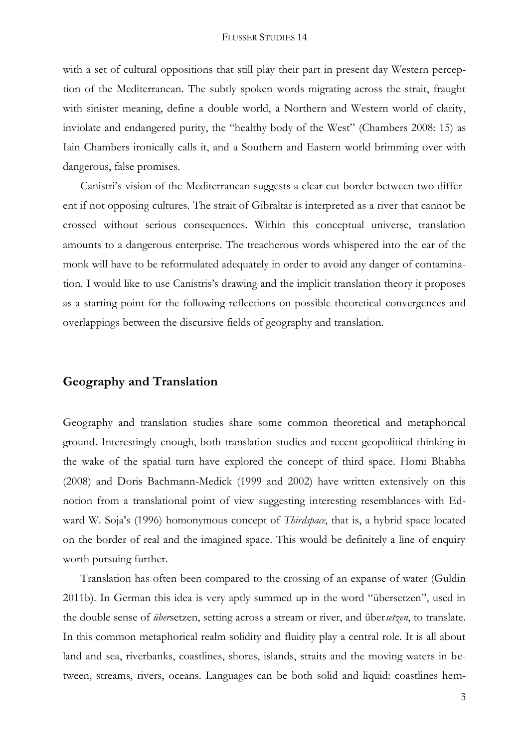with a set of cultural oppositions that still play their part in present day Western perception of the Mediterranean. The subtly spoken words migrating across the strait, fraught with sinister meaning, define a double world, a Northern and Western world of clarity, inviolate and endangered purity, the "healthy body of the West" (Chambers 2008: 15) as Iain Chambers ironically calls it, and a Southern and Eastern world brimming over with dangerous, false promises.

Canistri's vision of the Mediterranean suggests a clear cut border between two different if not opposing cultures. The strait of Gibraltar is interpreted as a river that cannot be crossed without serious consequences. Within this conceptual universe, translation amounts to a dangerous enterprise. The treacherous words whispered into the ear of the monk will have to be reformulated adequately in order to avoid any danger of contamination. I would like to use Canistris's drawing and the implicit translation theory it proposes as a starting point for the following reflections on possible theoretical convergences and overlappings between the discursive fields of geography and translation.

## **Geography and Translation**

Geography and translation studies share some common theoretical and metaphorical ground. Interestingly enough, both translation studies and recent geopolitical thinking in the wake of the spatial turn have explored the concept of third space. Homi Bhabha (2008) and Doris Bachmann-Medick (1999 and 2002) have written extensively on this notion from a translational point of view suggesting interesting resemblances with Edward W. Soja's (1996) homonymous concept of *Thirdspace*, that is, a hybrid space located on the border of real and the imagined space. This would be definitely a line of enquiry worth pursuing further.

Translation has often been compared to the crossing of an expanse of water (Guldin 2011b). In German this idea is very aptly summed up in the word "übersetzen", used in the double sense of *über*setzen, setting across a stream or river, and über*setzen*, to translate. In this common metaphorical realm solidity and fluidity play a central role. It is all about land and sea, riverbanks, coastlines, shores, islands, straits and the moving waters in between, streams, rivers, oceans. Languages can be both solid and liquid: coastlines hem-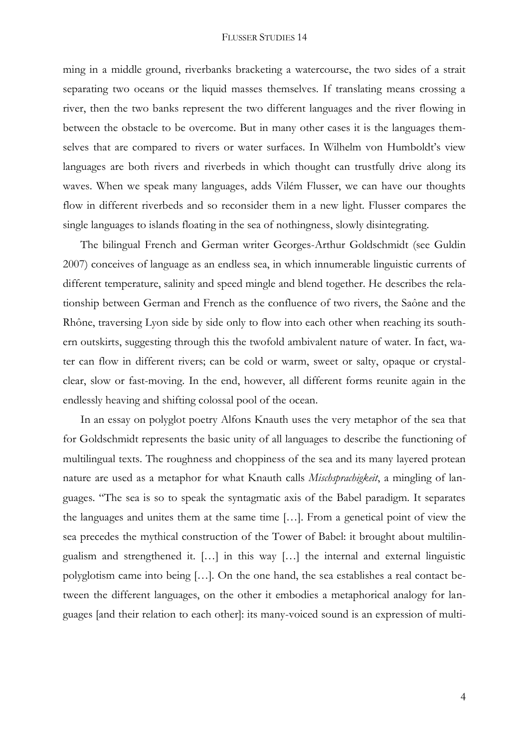ming in a middle ground, riverbanks bracketing a watercourse, the two sides of a strait separating two oceans or the liquid masses themselves. If translating means crossing a river, then the two banks represent the two different languages and the river flowing in between the obstacle to be overcome. But in many other cases it is the languages themselves that are compared to rivers or water surfaces. In Wilhelm von Humboldt's view languages are both rivers and riverbeds in which thought can trustfully drive along its waves. When we speak many languages, adds Vilém Flusser, we can have our thoughts flow in different riverbeds and so reconsider them in a new light. Flusser compares the single languages to islands floating in the sea of nothingness, slowly disintegrating.

The bilingual French and German writer Georges-Arthur Goldschmidt (see Guldin 2007) conceives of language as an endless sea, in which innumerable linguistic currents of different temperature, salinity and speed mingle and blend together. He describes the relationship between German and French as the confluence of two rivers, the Saône and the Rhône, traversing Lyon side by side only to flow into each other when reaching its southern outskirts, suggesting through this the twofold ambivalent nature of water. In fact, water can flow in different rivers; can be cold or warm, sweet or salty, opaque or crystalclear, slow or fast-moving. In the end, however, all different forms reunite again in the endlessly heaving and shifting colossal pool of the ocean.

In an essay on polyglot poetry Alfons Knauth uses the very metaphor of the sea that for Goldschmidt represents the basic unity of all languages to describe the functioning of multilingual texts. The roughness and choppiness of the sea and its many layered protean nature are used as a metaphor for what Knauth calls *Mischsprachigkeit*, a mingling of languages. "The sea is so to speak the syntagmatic axis of the Babel paradigm. It separates the languages and unites them at the same time […]. From a genetical point of view the sea precedes the mythical construction of the Tower of Babel: it brought about multilingualism and strengthened it. […] in this way […] the internal and external linguistic polyglotism came into being […]. On the one hand, the sea establishes a real contact between the different languages, on the other it embodies a metaphorical analogy for languages [and their relation to each other]: its many-voiced sound is an expression of multi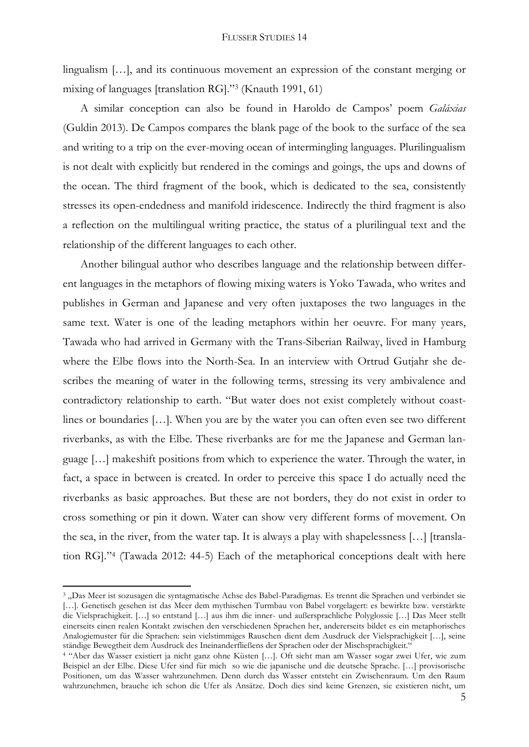lingualism [...], and its continuous movement an expression of the constant merging or mixing of languages [translation RG]."<sup>3</sup> (Knauth 1991, 61)

A similar conception can also be found in Haroldo de Campos' poem *Galáxias* (Guldin 2013). De Campos compares the blank page of the book to the surface of the sea and writing to a trip on the ever-moving ocean of intermingling languages. Plurilingualism is not dealt with explicitly but rendered in the comings and goings, the ups and downs of the ocean. The third fragment of the book, which is dedicated to the sea, consistently stresses its open-endedness and manifold iridescence. Indirectly the third fragment is also a reflection on the multilingual writing practice, the status of a plurilingual text and the relationship of the different languages to each other.

Another bilingual author who describes language and the relationship between different languages in the metaphors of flowing mixing waters is Yoko Tawada, who writes and publishes in German and Japanese and very often juxtaposes the two languages in the same text. Water is one of the leading metaphors within her oeuvre. For many years, Tawada who had arrived in Germany with the Trans-Siberian Railway, lived in Hamburg where the Elbe flows into the North-Sea. In an interview with Ortrud Gutjahr she describes the meaning of water in the following terms, stressing its very ambivalence and contradictory relationship to earth. "But water does not exist completely without coastlines or boundaries [...]. When you are by the water you can often even see two different riverbanks, as with the Elbe. These riverbanks are for me the Japanese and German language […] makeshift positions from which to experience the water. Through the water, in fact, a space in between is created. In order to perceive this space I do actually need the riverbanks as basic approaches. But these are not borders, they do not exist in order to cross something or pin it down. Water can show very different forms of movement. On the sea, in the river, from the water tap. It is always a play with shapelessness […] [translation RG]."<sup>4</sup> (Tawada 2012: 44-5) Each of the metaphorical conceptions dealt with here

1

<sup>&</sup>lt;sup>3</sup> "Das Meer ist sozusagen die syntagmatische Achse des Babel-Paradigmas. Es trennt die Sprachen und verbindet sie [...]. Genetisch gesehen ist das Meer dem mythischen Turmbau von Babel vorgelagert: es bewirkte bzw. verstärkte die Vielsprachigkeit. […] so entstand […] aus ihm die inner- und außersprachliche Polyglossie […] Das Meer stellt einerseits einen realen Kontakt zwischen den verschiedenen Sprachen her, andererseits bildet es ein metaphorisches Analogiemuster für die Sprachen: sein vielstimmiges Rauschen dient dem Ausdruck der Vielsprachigkeit […], seine ständige Bewegtheit dem Ausdruck des Ineinanderfließens der Sprachen oder der Mischsprachigkeit."

<sup>4</sup> "Aber das Wasser existiert ja nicht ganz ohne Küsten […]. Oft sieht man am Wasser sogar zwei Ufer, wie zum Beispiel an der Elbe. Diese Ufer sind für mich so wie die japanische und die deutsche Sprache. […] provisorische Positionen, um das Wasser wahrzunehmen. Denn durch das Wasser entsteht ein Zwischenraum. Um den Raum wahrzunehmen, brauche ich schon die Ufer als Ansätze. Doch dies sind keine Grenzen, sie existieren nicht, um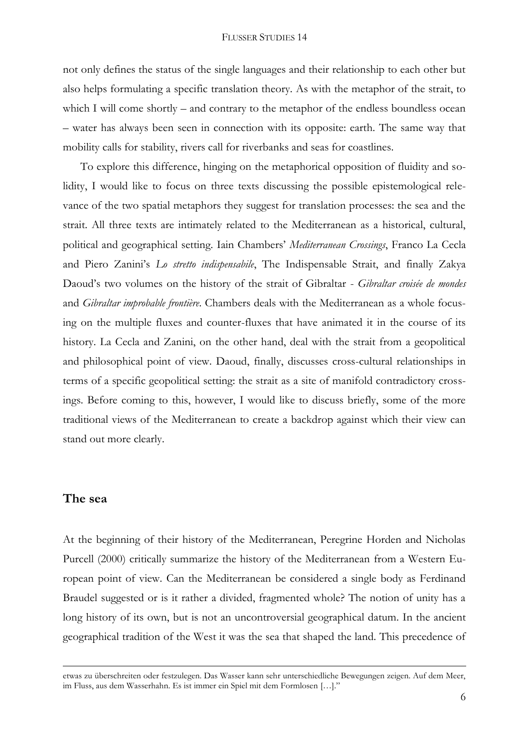not only defines the status of the single languages and their relationship to each other but also helps formulating a specific translation theory. As with the metaphor of the strait, to which I will come shortly – and contrary to the metaphor of the endless boundless ocean – water has always been seen in connection with its opposite: earth. The same way that mobility calls for stability, rivers call for riverbanks and seas for coastlines.

To explore this difference, hinging on the metaphorical opposition of fluidity and solidity, I would like to focus on three texts discussing the possible epistemological relevance of the two spatial metaphors they suggest for translation processes: the sea and the strait. All three texts are intimately related to the Mediterranean as a historical, cultural, political and geographical setting. Iain Chambers' *Mediterranean Crossings*, Franco La Cecla and Piero Zanini's *Lo stretto indispensabile*, The Indispensable Strait, and finally Zakya Daoud's two volumes on the history of the strait of Gibraltar - *Gibraltar croisée de mondes*  and *Gibraltar improbable frontière*. Chambers deals with the Mediterranean as a whole focusing on the multiple fluxes and counter-fluxes that have animated it in the course of its history. La Cecla and Zanini, on the other hand, deal with the strait from a geopolitical and philosophical point of view. Daoud, finally, discusses cross-cultural relationships in terms of a specific geopolitical setting: the strait as a site of manifold contradictory crossings. Before coming to this, however, I would like to discuss briefly, some of the more traditional views of the Mediterranean to create a backdrop against which their view can stand out more clearly.

## **The sea**

1

At the beginning of their history of the Mediterranean, Peregrine Horden and Nicholas Purcell (2000) critically summarize the history of the Mediterranean from a Western European point of view. Can the Mediterranean be considered a single body as Ferdinand Braudel suggested or is it rather a divided, fragmented whole? The notion of unity has a long history of its own, but is not an uncontroversial geographical datum. In the ancient geographical tradition of the West it was the sea that shaped the land. This precedence of

etwas zu überschreiten oder festzulegen. Das Wasser kann sehr unterschiedliche Bewegungen zeigen. Auf dem Meer, im Fluss, aus dem Wasserhahn. Es ist immer ein Spiel mit dem Formlosen […]."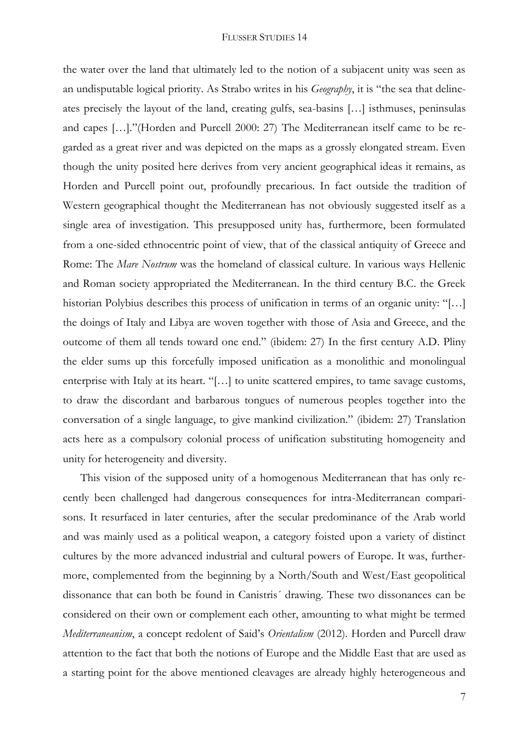the water over the land that ultimately led to the notion of a subjacent unity was seen as an undisputable logical priority. As Strabo writes in his *Geography*, it is "the sea that delineates precisely the layout of the land, creating gulfs, sea-basins […] isthmuses, peninsulas and capes […]."(Horden and Purcell 2000: 27) The Mediterranean itself came to be regarded as a great river and was depicted on the maps as a grossly elongated stream. Even though the unity posited here derives from very ancient geographical ideas it remains, as Horden and Purcell point out, profoundly precarious. In fact outside the tradition of Western geographical thought the Mediterranean has not obviously suggested itself as a single area of investigation. This presupposed unity has, furthermore, been formulated from a one-sided ethnocentric point of view, that of the classical antiquity of Greece and Rome: The *Mare Nostrum* was the homeland of classical culture. In various ways Hellenic and Roman society appropriated the Mediterranean. In the third century B.C. the Greek historian Polybius describes this process of unification in terms of an organic unity: "[…] the doings of Italy and Libya are woven together with those of Asia and Greece, and the outcome of them all tends toward one end." (ibidem: 27) In the first century A.D. Pliny the elder sums up this forcefully imposed unification as a monolithic and monolingual enterprise with Italy at its heart. "[…] to unite scattered empires, to tame savage customs, to draw the discordant and barbarous tongues of numerous peoples together into the conversation of a single language, to give mankind civilization." (ibidem: 27) Translation acts here as a compulsory colonial process of unification substituting homogeneity and unity for heterogeneity and diversity.

This vision of the supposed unity of a homogenous Mediterranean that has only recently been challenged had dangerous consequences for intra-Mediterranean comparisons. It resurfaced in later centuries, after the secular predominance of the Arab world and was mainly used as a political weapon, a category foisted upon a variety of distinct cultures by the more advanced industrial and cultural powers of Europe. It was, furthermore, complemented from the beginning by a North/South and West/East geopolitical dissonance that can both be found in Canistris´ drawing. These two dissonances can be considered on their own or complement each other, amounting to what might be termed *Mediterraneanism*, a concept redolent of Said's *Orientalism* (2012). Horden and Purcell draw attention to the fact that both the notions of Europe and the Middle East that are used as a starting point for the above mentioned cleavages are already highly heterogeneous and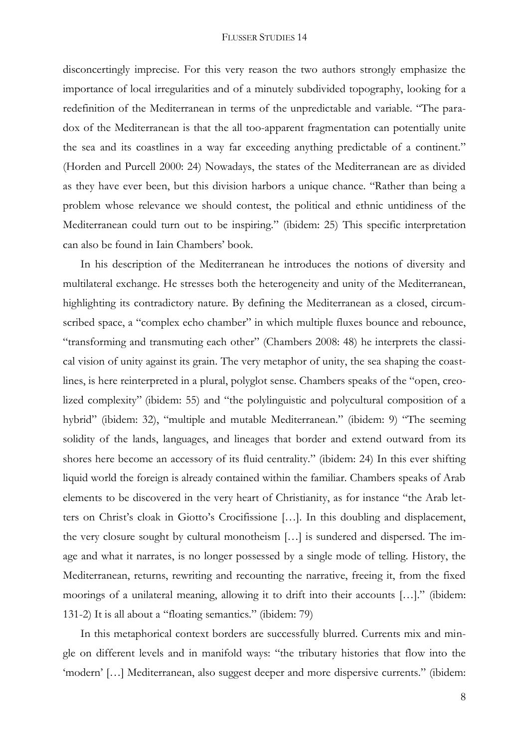disconcertingly imprecise. For this very reason the two authors strongly emphasize the importance of local irregularities and of a minutely subdivided topography, looking for a redefinition of the Mediterranean in terms of the unpredictable and variable. "The paradox of the Mediterranean is that the all too-apparent fragmentation can potentially unite the sea and its coastlines in a way far exceeding anything predictable of a continent." (Horden and Purcell 2000: 24) Nowadays, the states of the Mediterranean are as divided as they have ever been, but this division harbors a unique chance. "Rather than being a problem whose relevance we should contest, the political and ethnic untidiness of the Mediterranean could turn out to be inspiring." (ibidem: 25) This specific interpretation can also be found in Iain Chambers' book.

In his description of the Mediterranean he introduces the notions of diversity and multilateral exchange. He stresses both the heterogeneity and unity of the Mediterranean, highlighting its contradictory nature. By defining the Mediterranean as a closed, circumscribed space, a "complex echo chamber" in which multiple fluxes bounce and rebounce, "transforming and transmuting each other" (Chambers 2008: 48) he interprets the classical vision of unity against its grain. The very metaphor of unity, the sea shaping the coastlines, is here reinterpreted in a plural, polyglot sense. Chambers speaks of the "open, creolized complexity" (ibidem: 55) and "the polylinguistic and polycultural composition of a hybrid" (ibidem: 32), "multiple and mutable Mediterranean." (ibidem: 9) "The seeming solidity of the lands, languages, and lineages that border and extend outward from its shores here become an accessory of its fluid centrality." (ibidem: 24) In this ever shifting liquid world the foreign is already contained within the familiar. Chambers speaks of Arab elements to be discovered in the very heart of Christianity, as for instance "the Arab letters on Christ's cloak in Giotto's Crocifissione […]. In this doubling and displacement, the very closure sought by cultural monotheism […] is sundered and dispersed. The image and what it narrates, is no longer possessed by a single mode of telling. History, the Mediterranean, returns, rewriting and recounting the narrative, freeing it, from the fixed moorings of a unilateral meaning, allowing it to drift into their accounts […]." (ibidem: 131-2) It is all about a "floating semantics." (ibidem: 79)

In this metaphorical context borders are successfully blurred. Currents mix and mingle on different levels and in manifold ways: "the tributary histories that flow into the 'modern' […] Mediterranean, also suggest deeper and more dispersive currents." (ibidem: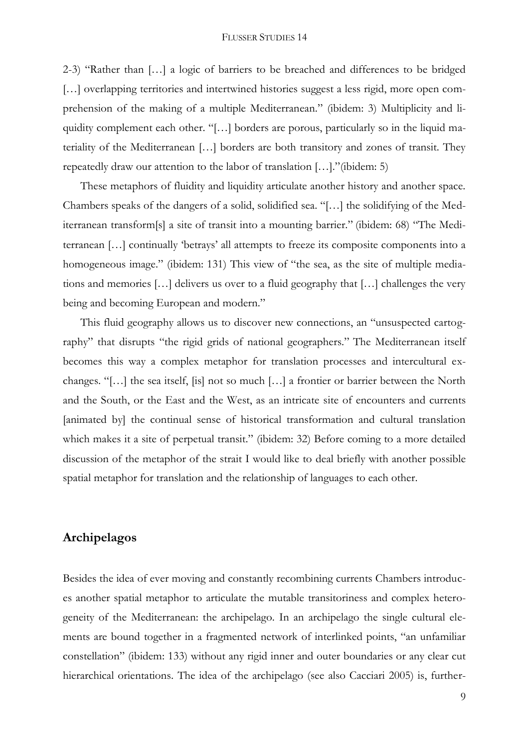2-3) "Rather than […] a logic of barriers to be breached and differences to be bridged [...] overlapping territories and intertwined histories suggest a less rigid, more open comprehension of the making of a multiple Mediterranean." (ibidem: 3) Multiplicity and liquidity complement each other. "[…] borders are porous, particularly so in the liquid materiality of the Mediterranean […] borders are both transitory and zones of transit. They repeatedly draw our attention to the labor of translation […]."(ibidem: 5)

These metaphors of fluidity and liquidity articulate another history and another space. Chambers speaks of the dangers of a solid, solidified sea. "[…] the solidifying of the Mediterranean transform[s] a site of transit into a mounting barrier." (ibidem: 68) "The Mediterranean […] continually 'betrays' all attempts to freeze its composite components into a homogeneous image." (ibidem: 131) This view of "the sea, as the site of multiple mediations and memories […] delivers us over to a fluid geography that […] challenges the very being and becoming European and modern."

This fluid geography allows us to discover new connections, an "unsuspected cartography" that disrupts "the rigid grids of national geographers." The Mediterranean itself becomes this way a complex metaphor for translation processes and intercultural exchanges. "[…] the sea itself, [is] not so much […] a frontier or barrier between the North and the South, or the East and the West, as an intricate site of encounters and currents [animated by] the continual sense of historical transformation and cultural translation which makes it a site of perpetual transit." (ibidem: 32) Before coming to a more detailed discussion of the metaphor of the strait I would like to deal briefly with another possible spatial metaphor for translation and the relationship of languages to each other.

## **Archipelagos**

Besides the idea of ever moving and constantly recombining currents Chambers introduces another spatial metaphor to articulate the mutable transitoriness and complex heterogeneity of the Mediterranean: the archipelago. In an archipelago the single cultural elements are bound together in a fragmented network of interlinked points, "an unfamiliar constellation" (ibidem: 133) without any rigid inner and outer boundaries or any clear cut hierarchical orientations. The idea of the archipelago (see also Cacciari 2005) is, further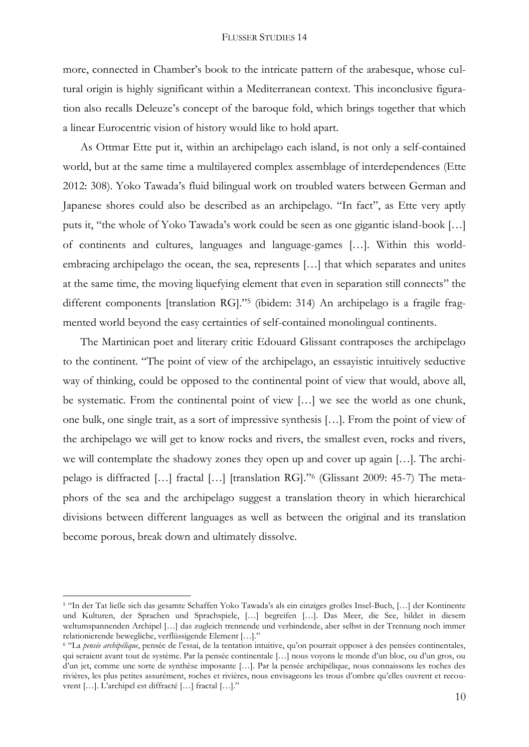more, connected in Chamber's book to the intricate pattern of the arabesque, whose cultural origin is highly significant within a Mediterranean context. This inconclusive figuration also recalls Deleuze's concept of the baroque fold, which brings together that which a linear Eurocentric vision of history would like to hold apart.

As Ottmar Ette put it, within an archipelago each island, is not only a self-contained world, but at the same time a multilayered complex assemblage of interdependences (Ette 2012: 308). Yoko Tawada's fluid bilingual work on troubled waters between German and Japanese shores could also be described as an archipelago. "In fact", as Ette very aptly puts it, "the whole of Yoko Tawada's work could be seen as one gigantic island-book […] of continents and cultures, languages and language-games […]. Within this worldembracing archipelago the ocean, the sea, represents […] that which separates and unites at the same time, the moving liquefying element that even in separation still connects" the different components [translation RG]."<sup>5</sup> (ibidem: 314) An archipelago is a fragile fragmented world beyond the easy certainties of self-contained monolingual continents.

The Martinican poet and literary critic Edouard Glissant contraposes the archipelago to the continent. "The point of view of the archipelago, an essayistic intuitively seductive way of thinking, could be opposed to the continental point of view that would, above all, be systematic. From the continental point of view […] we see the world as one chunk, one bulk, one single trait, as a sort of impressive synthesis […]. From the point of view of the archipelago we will get to know rocks and rivers, the smallest even, rocks and rivers, we will contemplate the shadowy zones they open up and cover up again […]. The archipelago is diffracted […] fractal […] [translation RG]."<sup>6</sup> (Glissant 2009: 45-7) The metaphors of the sea and the archipelago suggest a translation theory in which hierarchical divisions between different languages as well as between the original and its translation become porous, break down and ultimately dissolve.

**.** 

<sup>5</sup> "In der Tat ließe sich das gesamte Schaffen Yoko Tawada's als ein einziges großes Insel-Buch, […] der Kontinente und Kulturen, der Sprachen und Sprachspiele, […] begreifen […]. Das Meer, die See, bildet in diesem weltumspannenden Archipel […] das zugleich trennende und verbindende, aber selbst in der Trennung noch immer relationierende bewegliche, verflüssigende Element […]."

<sup>6</sup> "La *pensée archipélique*, pensée de l'essai, de la tentation intuitive, qu'on pourrait opposer à des pensées continentales, qui seraient avant tout de système. Par la pensée continentale […] nous voyons le monde d'un bloc, ou d'un gros, ou d'un jet, comme une sorte de synthèse imposante […]. Par la pensée archipélique, nous connaissons les roches des rivières, les plus petites assurément, roches et rivières, nous envisageons les trous d'ombre qu'elles ouvrent et recouvrent […]. L'archipel est diffracté […] fractal […]."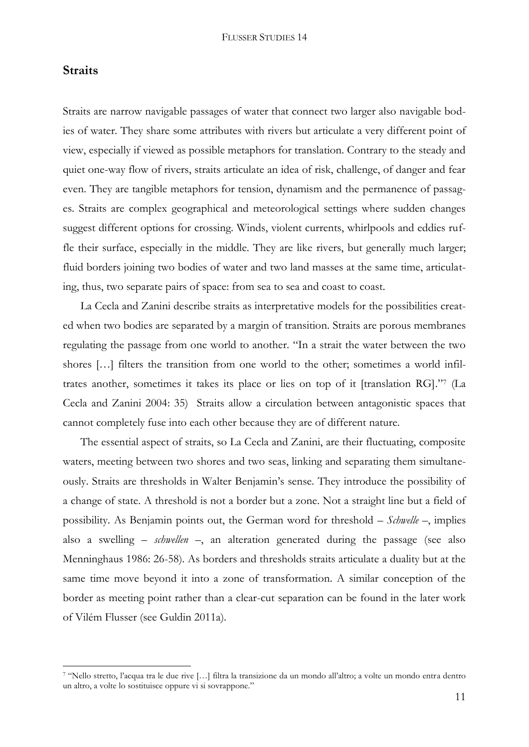## **Straits**

1

Straits are narrow navigable passages of water that connect two larger also navigable bodies of water. They share some attributes with rivers but articulate a very different point of view, especially if viewed as possible metaphors for translation. Contrary to the steady and quiet one-way flow of rivers, straits articulate an idea of risk, challenge, of danger and fear even. They are tangible metaphors for tension, dynamism and the permanence of passages. Straits are complex geographical and meteorological settings where sudden changes suggest different options for crossing. Winds, violent currents, whirlpools and eddies ruffle their surface, especially in the middle. They are like rivers, but generally much larger; fluid borders joining two bodies of water and two land masses at the same time, articulating, thus, two separate pairs of space: from sea to sea and coast to coast.

La Cecla and Zanini describe straits as interpretative models for the possibilities created when two bodies are separated by a margin of transition. Straits are porous membranes regulating the passage from one world to another. "In a strait the water between the two shores […] filters the transition from one world to the other; sometimes a world infiltrates another, sometimes it takes its place or lies on top of it [translation RG]." 7 (La Cecla and Zanini 2004: 35) Straits allow a circulation between antagonistic spaces that cannot completely fuse into each other because they are of different nature.

The essential aspect of straits, so La Cecla and Zanini, are their fluctuating, composite waters, meeting between two shores and two seas, linking and separating them simultaneously. Straits are thresholds in Walter Benjamin's sense. They introduce the possibility of a change of state. A threshold is not a border but a zone. Not a straight line but a field of possibility. As Benjamin points out, the German word for threshold – *Schwelle* –, implies also a swelling – *schwellen* –, an alteration generated during the passage (see also Menninghaus 1986: 26-58). As borders and thresholds straits articulate a duality but at the same time move beyond it into a zone of transformation. A similar conception of the border as meeting point rather than a clear-cut separation can be found in the later work of Vilém Flusser (see Guldin 2011a).

<sup>7</sup> "Nello stretto, l'acqua tra le due rive […] filtra la transizione da un mondo all'altro; a volte un mondo entra dentro un altro, a volte lo sostituisce oppure vi si sovrappone."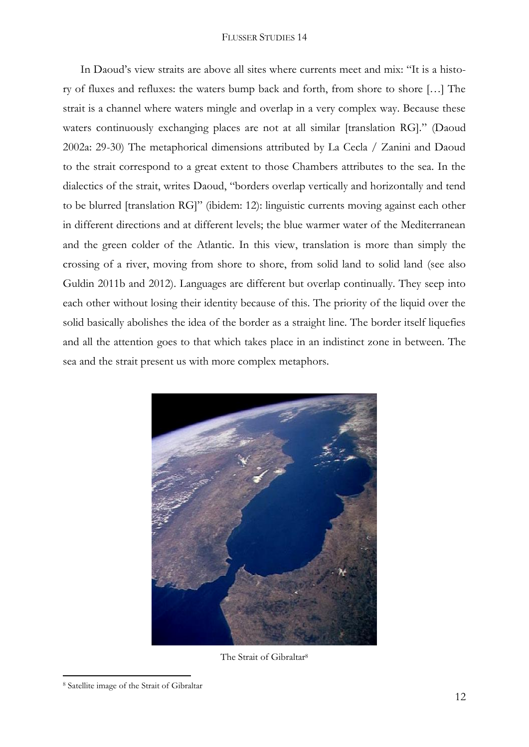In Daoud's view straits are above all sites where currents meet and mix: "It is a history of fluxes and refluxes: the waters bump back and forth, from shore to shore […] The strait is a channel where waters mingle and overlap in a very complex way. Because these waters continuously exchanging places are not at all similar [translation RG]." (Daoud 2002a: 29-30) The metaphorical dimensions attributed by La Cecla / Zanini and Daoud to the strait correspond to a great extent to those Chambers attributes to the sea. In the dialectics of the strait, writes Daoud, "borders overlap vertically and horizontally and tend to be blurred [translation RG]" (ibidem: 12): linguistic currents moving against each other in different directions and at different levels; the blue warmer water of the Mediterranean and the green colder of the Atlantic. In this view, translation is more than simply the crossing of a river, moving from shore to shore, from solid land to solid land (see also Guldin 2011b and 2012). Languages are different but overlap continually. They seep into each other without losing their identity because of this. The priority of the liquid over the solid basically abolishes the idea of the border as a straight line. The border itself liquefies and all the attention goes to that which takes place in an indistinct zone in between. The sea and the strait present us with more complex metaphors.



The Strait of Gibraltar<sup>8</sup>

**<sup>.</sup>** <sup>8</sup> Satellite image of the Strait of Gibraltar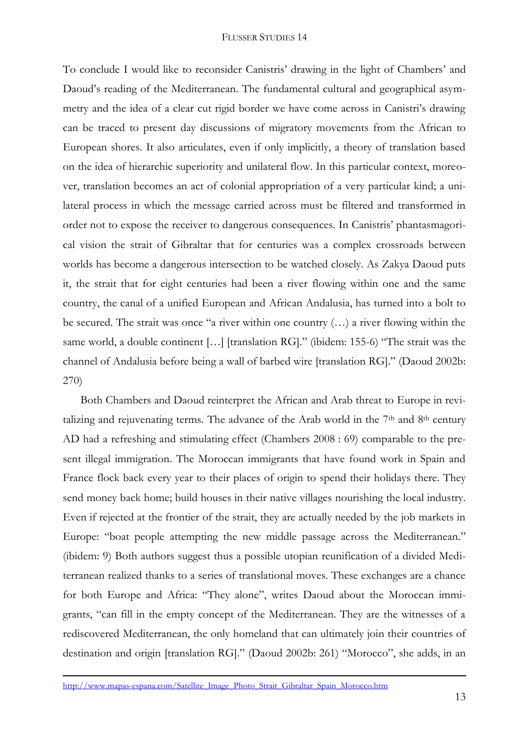To conclude I would like to reconsider Canistris' drawing in the light of Chambers' and Daoud's reading of the Mediterranean. The fundamental cultural and geographical asymmetry and the idea of a clear cut rigid border we have come across in Canistri's drawing can be traced to present day discussions of migratory movements from the African to European shores. It also articulates, even if only implicitly, a theory of translation based on the idea of hierarchic superiority and unilateral flow. In this particular context, moreover, translation becomes an act of colonial appropriation of a very particular kind; a unilateral process in which the message carried across must be filtered and transformed in order not to expose the receiver to dangerous consequences. In Canistris' phantasmagorical vision the strait of Gibraltar that for centuries was a complex crossroads between worlds has become a dangerous intersection to be watched closely. As Zakya Daoud puts it, the strait that for eight centuries had been a river flowing within one and the same country, the canal of a unified European and African Andalusia, has turned into a bolt to be secured. The strait was once "a river within one country (…) a river flowing within the same world, a double continent […] [translation RG]." (ibidem: 155-6) "The strait was the channel of Andalusia before being a wall of barbed wire [translation RG]." (Daoud 2002b: 270)

Both Chambers and Daoud reinterpret the African and Arab threat to Europe in revitalizing and rejuvenating terms. The advance of the Arab world in the  $7<sup>th</sup>$  and  $8<sup>th</sup>$  century AD had a refreshing and stimulating effect (Chambers 2008 : 69) comparable to the present illegal immigration. The Moroccan immigrants that have found work in Spain and France flock back every year to their places of origin to spend their holidays there. They send money back home; build houses in their native villages nourishing the local industry. Even if rejected at the frontier of the strait, they are actually needed by the job markets in Europe: "boat people attempting the new middle passage across the Mediterranean." (ibidem: 9) Both authors suggest thus a possible utopian reunification of a divided Mediterranean realized thanks to a series of translational moves. These exchanges are a chance for both Europe and Africa: "They alone", writes Daoud about the Moroccan immigrants, "can fill in the empty concept of the Mediterranean. They are the witnesses of a rediscovered Mediterranean, the only homeland that can ultimately join their countries of destination and origin [translation RG]." (Daoud 2002b: 261) "Morocco", she adds, in an

**.** 

[http://www.mapas-espana.com/Satellite\\_Image\\_Photo\\_Strait\\_Gibraltar\\_Spain\\_Morocco.htm](http://www.mapas-espana.com/Satellite_Image_Photo_Strait_Gibraltar_Spain_Morocco.htm)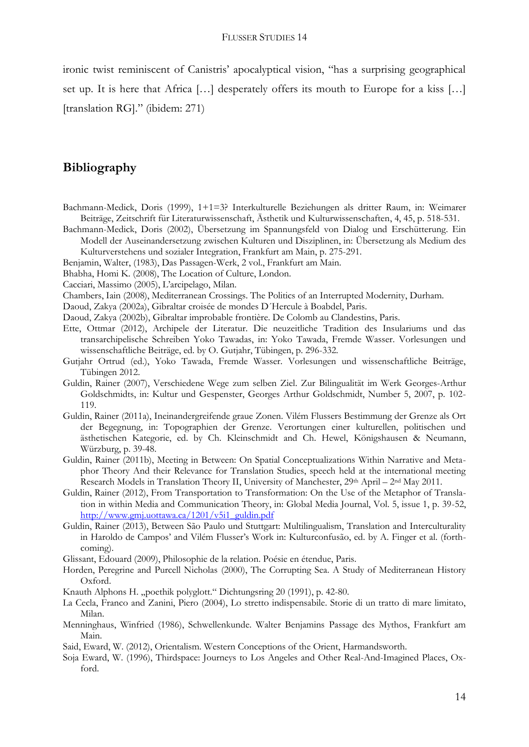ironic twist reminiscent of Canistris' apocalyptical vision, "has a surprising geographical set up. It is here that Africa […] desperately offers its mouth to Europe for a kiss […] [translation RG]." (ibidem: 271)

# **Bibliography**

- Bachmann-Medick, Doris (1999), 1+1=3? Interkulturelle Beziehungen als dritter Raum, in: Weimarer Beiträge, Zeitschrift für Literaturwissenschaft, Ästhetik und Kulturwissenschaften, 4, 45, p. 518-531.
- Bachmann-Medick, Doris (2002), Übersetzung im Spannungsfeld von Dialog und Erschütterung. Ein Modell der Auseinandersetzung zwischen Kulturen und Disziplinen, in: Übersetzung als Medium des Kulturverstehens und sozialer Integration, Frankfurt am Main, p. 275-291.
- Benjamin, Walter, (1983), Das Passagen-Werk, 2 vol., Frankfurt am Main.
- Bhabha, Homi K. (2008), The Location of Culture, London.
- Cacciari, Massimo (2005), L'arcipelago, Milan.
- Chambers, Iain (2008), Mediterranean Crossings. The Politics of an Interrupted Modernity, Durham.
- Daoud, Zakya (2002a), Gibraltar croisée de mondes D´Hercule à Boabdel, Paris.
- Daoud, Zakya (2002b), Gibraltar improbable frontière. De Colomb au Clandestins, Paris.
- Ette, Ottmar (2012), Archipele der Literatur. Die neuzeitliche Tradition des Insulariums und das transarchipelische Schreiben Yoko Tawadas, in: Yoko Tawada, Fremde Wasser. Vorlesungen und wissenschaftliche Beiträge, ed. by O. Gutjahr, Tübingen, p. 296-332.
- Gutjahr Ortrud (ed.), Yoko Tawada, Fremde Wasser. Vorlesungen und wissenschaftliche Beiträge, Tübingen 2012.
- Guldin, Rainer (2007), Verschiedene Wege zum selben Ziel. Zur Bilingualität im Werk Georges-Arthur Goldschmidts, in: Kultur und Gespenster, Georges Arthur Goldschmidt, Number 5, 2007, p. 102- 119.
- Guldin, Rainer (2011a), Ineinandergreifende graue Zonen. Vilém Flussers Bestimmung der Grenze als Ort der Begegnung, in: Topographien der Grenze. Verortungen einer kulturellen, politischen und ästhetischen Kategorie, ed. by Ch. Kleinschmidt and Ch. Hewel, Königshausen & Neumann, Würzburg, p. 39-48.
- Guldin, Rainer (2011b), Meeting in Between: On Spatial Conceptualizations Within Narrative and Metaphor Theory And their Relevance for Translation Studies, speech held at the international meeting Research Models in Translation Theory II, University of Manchester, 29th April – 2nd May 2011.
- Guldin, Rainer (2012), From Transportation to Transformation: On the Use of the Metaphor of Translation in within Media and Communication Theory, in: Global Media Journal, Vol. 5, issue 1, p. 39-52, [http://www.gmj.uottawa.ca/1201/v5i1\\_guldin.pdf](http://www.gmj.uottawa.ca/1201/v5i1_guldin.pdf)
- Guldin, Rainer (2013), Between São Paulo und Stuttgart: Multilingualism, Translation and Interculturality in Haroldo de Campos' and Vilém Flusser's Work in: Kulturconfusão, ed. by A. Finger et al. (forthcoming).
- Glissant, Edouard (2009), Philosophie de la relation. Poésie en étendue, Paris.
- Horden, Peregrine and Purcell Nicholas (2000), The Corrupting Sea. A Study of Mediterranean History Oxford.
- Knauth Alphons H. "poethik polyglott." Dichtungsring 20 (1991), p. 42-80.
- La Cecla, Franco and Zanini, Piero (2004), Lo stretto indispensabile. Storie di un tratto di mare limitato, Milan.
- Menninghaus, Winfried (1986), Schwellenkunde. Walter Benjamins Passage des Mythos, Frankfurt am Main.
- Said, Eward, W. (2012), Orientalism. Western Conceptions of the Orient, Harmandsworth.
- Soja Eward, W. (1996), Thirdspace: Journeys to Los Angeles and Other Real-And-Imagined Places, Oxford.